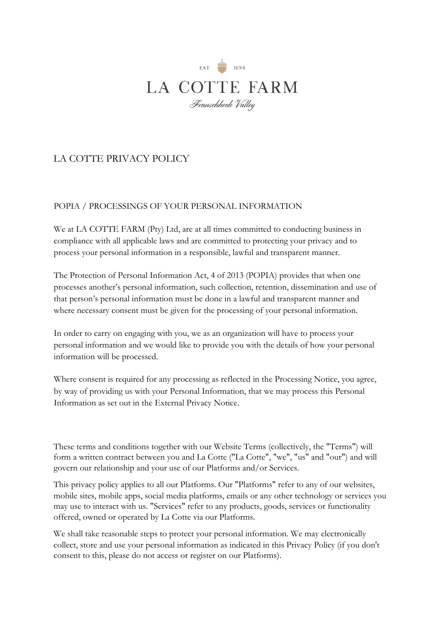

# LA COTTE PRIVACY POLICY

# POPIA / PROCESSINGS OF YOUR PERSONAL INFORMATION

We at LA COTTE FARM (Pty) Ltd, are at all times committed to conducting business in compliance with all applicable laws and are committed to protecting your privacy and to process your personal information in a responsible, lawful and transparent manner.

The Protection of Personal Information Act, 4 of 2013 (POPIA) provides that when one processes another's personal information, such collection, retention, dissemination and use of that person's personal information must be done in a lawful and transparent manner and where necessary consent must be given for the processing of your personal information.

In order to carry on engaging with you, we as an organization will have to process your personal information and we would like to provide you with the details of how your personal information will be processed.

Where consent is required for any processing as reflected in the Processing Notice, you agree, by way of providing us with your Personal Information, that we may process this Personal Information as set out in the External Privacy Notice.

These terms and conditions together with our Website Terms (collectively, the "Terms") will form a written contract between you and La Cotte ("La Cotte", "we", "us" and "our") and will govern our relationship and your use of our Platforms and/or Services.

This privacy policy applies to all our Platforms. Our "Platforms" refer to any of our websites, mobile sites, mobile apps, social media platforms, emails or any other technology or services you may use to interact with us. "Services" refer to any products, goods, services or functionality offered, owned or operated by La Cotte via our Platforms.

We shall take reasonable steps to protect your personal information. We may electronically collect, store and use your personal information as indicated in this Privacy Policy (if you don't consent to this, please do not access or register on our Platforms).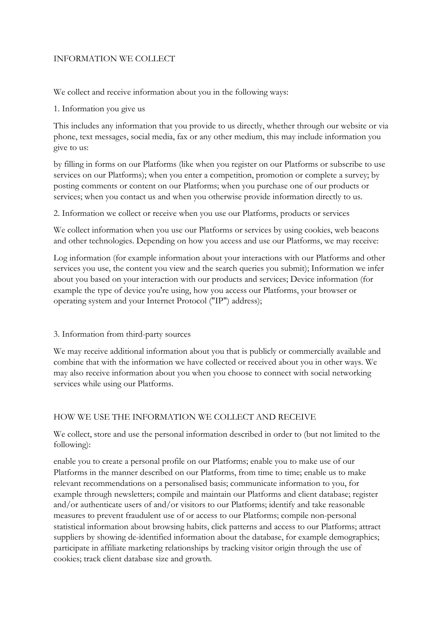# INFORMATION WE COLLECT

We collect and receive information about you in the following ways:

#### 1. Information you give us

This includes any information that you provide to us directly, whether through our website or via phone, text messages, social media, fax or any other medium, this may include information you give to us:

by filling in forms on our Platforms (like when you register on our Platforms or subscribe to use services on our Platforms); when you enter a competition, promotion or complete a survey; by posting comments or content on our Platforms; when you purchase one of our products or services; when you contact us and when you otherwise provide information directly to us.

2. Information we collect or receive when you use our Platforms, products or services

We collect information when you use our Platforms or services by using cookies, web beacons and other technologies. Depending on how you access and use our Platforms, we may receive:

Log information (for example information about your interactions with our Platforms and other services you use, the content you view and the search queries you submit); Information we infer about you based on your interaction with our products and services; Device information (for example the type of device you're using, how you access our Platforms, your browser or operating system and your Internet Protocol ("IP") address);

#### 3. Information from third-party sources

We may receive additional information about you that is publicly or commercially available and combine that with the information we have collected or received about you in other ways. We may also receive information about you when you choose to connect with social networking services while using our Platforms.

#### HOW WE USE THE INFORMATION WE COLLECT AND RECEIVE

We collect, store and use the personal information described in order to (but not limited to the following):

enable you to create a personal profile on our Platforms; enable you to make use of our Platforms in the manner described on our Platforms, from time to time; enable us to make relevant recommendations on a personalised basis; communicate information to you, for example through newsletters; compile and maintain our Platforms and client database; register and/or authenticate users of and/or visitors to our Platforms; identify and take reasonable measures to prevent fraudulent use of or access to our Platforms; compile non-personal statistical information about browsing habits, click patterns and access to our Platforms; attract suppliers by showing de-identified information about the database, for example demographics; participate in affiliate marketing relationships by tracking visitor origin through the use of cookies; track client database size and growth.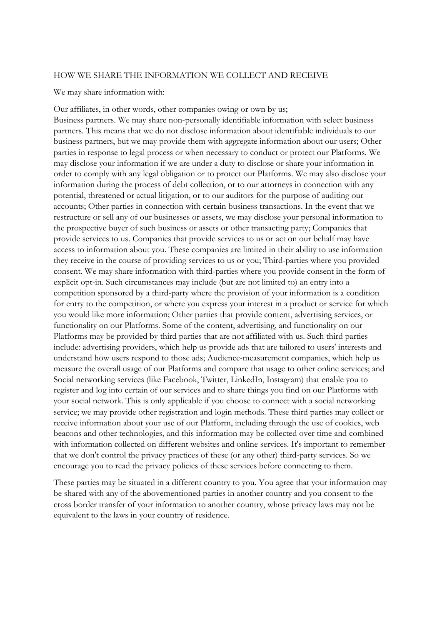#### HOW WE SHARE THE INFORMATION WE COLLECT AND RECEIVE

We may share information with:

Our affiliates, in other words, other companies owing or own by us; Business partners. We may share non-personally identifiable information with select business partners. This means that we do not disclose information about identifiable individuals to our business partners, but we may provide them with aggregate information about our users; Other parties in response to legal process or when necessary to conduct or protect our Platforms. We may disclose your information if we are under a duty to disclose or share your information in order to comply with any legal obligation or to protect our Platforms. We may also disclose your information during the process of debt collection, or to our attorneys in connection with any potential, threatened or actual litigation, or to our auditors for the purpose of auditing our accounts; Other parties in connection with certain business transactions. In the event that we restructure or sell any of our businesses or assets, we may disclose your personal information to the prospective buyer of such business or assets or other transacting party; Companies that provide services to us. Companies that provide services to us or act on our behalf may have access to information about you. These companies are limited in their ability to use information they receive in the course of providing services to us or you; Third-parties where you provided consent. We may share information with third-parties where you provide consent in the form of explicit opt-in. Such circumstances may include (but are not limited to) an entry into a competition sponsored by a third-party where the provision of your information is a condition for entry to the competition, or where you express your interest in a product or service for which you would like more information; Other parties that provide content, advertising services, or functionality on our Platforms. Some of the content, advertising, and functionality on our Platforms may be provided by third parties that are not affiliated with us. Such third parties include: advertising providers, which help us provide ads that are tailored to users' interests and understand how users respond to those ads; Audience-measurement companies, which help us measure the overall usage of our Platforms and compare that usage to other online services; and Social networking services (like Facebook, Twitter, LinkedIn, Instagram) that enable you to register and log into certain of our services and to share things you find on our Platforms with your social network. This is only applicable if you choose to connect with a social networking service; we may provide other registration and login methods. These third parties may collect or receive information about your use of our Platform, including through the use of cookies, web beacons and other technologies, and this information may be collected over time and combined with information collected on different websites and online services. It's important to remember that we don't control the privacy practices of these (or any other) third-party services. So we encourage you to read the privacy policies of these services before connecting to them.

These parties may be situated in a different country to you. You agree that your information may be shared with any of the abovementioned parties in another country and you consent to the cross border transfer of your information to another country, whose privacy laws may not be equivalent to the laws in your country of residence.